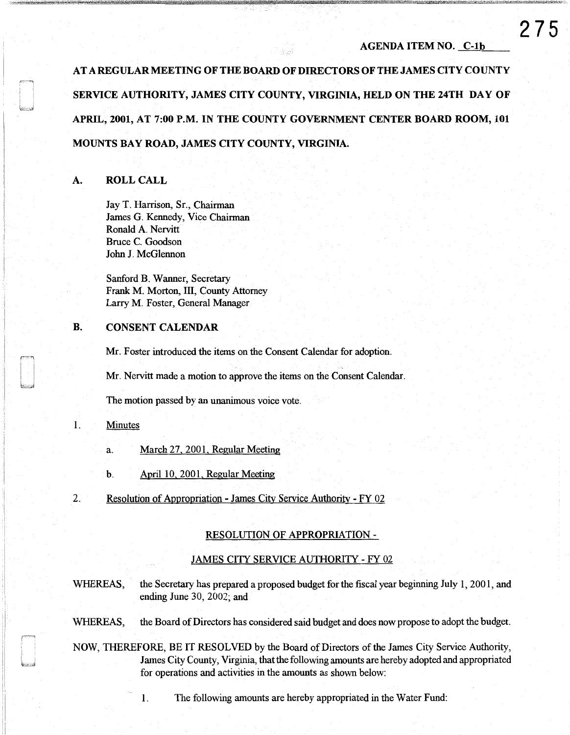**275** 

AT A REGULAR MEETING OF THE BOARD OF DIRECTORS OF THE JAMES CITY COUNTY SERVICE AUTHORITY, JAMES CITY COUNTY, VIRGINIA, HELD ON THE 24TH DAY OF APRIL, 2001, AT 7:00 P.M. IN THE COUNTY GOVERNMENT CENTER BOARD ROOM, 101 MOUNTS BAY ROAD, JAMES CITY COUNTY, VIRGINIA.

## A. ROLL CALL

Jay T. Harrison, Sr., Chairman James G. Kennedy, Vice Chairman Ronald A. Nervitt Bruce C. Goodson John J. McGlennon

Sanford B. Wanner, Secretary Frank M. Morton, III, County Attorney Larry M. Foster, General Manager

# B. CONSENT CALENDAR

Mr. Foster introduced the items on the Consent Calendar for adoption.

Mr. Nervitt made a motion to approve the items on the Consent Calendar.

The motion passed by an unanimous voice vote.

# 1. Minutes

j

- a. March 27, 2001, Regular Meeting
- b. April 10, 2001, Regular Meeting
- 2. Resolution of Appropriation James City Service Authority -FY 02

### RESOLUTION OF APPROPRIATION -

### JAMES CITY SERVICE AUTHORITY - FY 02

WHEREAS, the Secretary has prepared a proposed budget for the fiscal year beginning July 1, 2001, and ending June 30, 2002; and

WHEREAS, the Board of Directors has considered said budget and does now propose to adopt the budget.

NOW, THEREFORE, BE IT RESOLVED by the Board of Directors of the James City Service Authority, James City County, Virginia, that the following amounts are hereby adopted and appropriated for operations and activities in the amounts as shown below:

1. The following amounts are hereby appropriated in the Water Fund: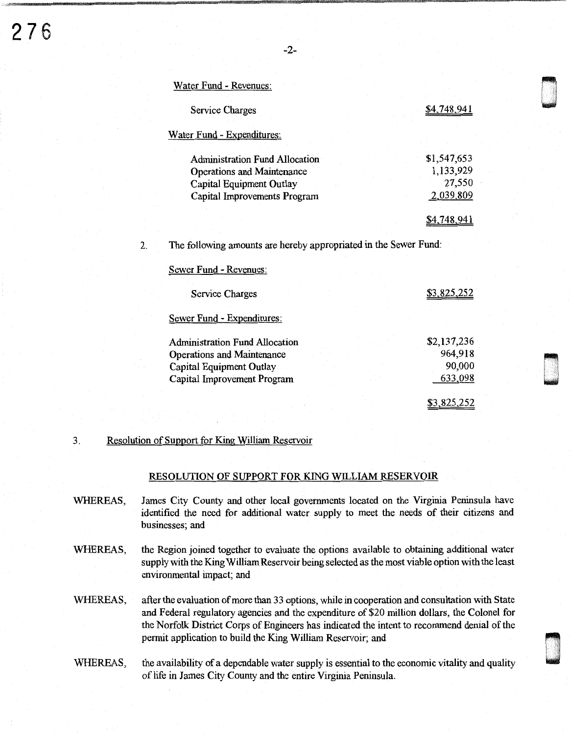ana<br>List

000<br>1940<br>1940

| Service Charges                                                  | <u>\$4,748,941</u> |
|------------------------------------------------------------------|--------------------|
| Water Fund - Expenditures:                                       |                    |
| <b>Administration Fund Allocation</b>                            | \$1,547,653        |
| <b>Operations and Maintenance</b>                                | 1,133,929          |
| Capital Equipment Outlay                                         | 27,550             |
| Capital Improvements Program                                     | 2,039,809          |
|                                                                  | <u>\$4,748,941</u> |
| The following amounts are hereby appropriated in the Sewer Fund: |                    |
| Sewer Fund - Revenues:                                           |                    |
|                                                                  |                    |
| <b>Service Charges</b>                                           | <u>\$3,825,252</u> |
| <b>Sewer Fund - Expenditures:</b>                                |                    |
|                                                                  |                    |
| <b>Administration Fund Allocation</b>                            | \$2,137,236        |
| <b>Operations and Maintenance</b>                                | 964,918            |
| Capital Equipment Outlay<br>Capital Improvement Program          | 90,000<br>633,098  |

## 3. Resolution of Support for King William Reservoir

 $W_{\text{rel}} = F_{\text{end}} - F_{\text{rel}}$ 

### RESOLUTION OF SUPPORT FOR KING WILLIAM RESERVOIR

- WHEREAS, James City County and other local governments located on the Virginia Peninsula have identified the need for additional water supply to meet the needs of their citizens and businesses; and
- WHEREAS, the Region joined together to evaluate the options available to obtaining additional water supply with the King William Reservoir being selected as the most viable option with the least environmental impact; and
- WHEREAS, after the evaluation of more than 33 options, while in cooperation and consultation with State and Federal regulatory agencies and the expenditure of \$20 million dollars, the Colonel for the Norfolk District Corps of Engineers has indicated the intent to recommend denial of the permit application to build the King William Reservoir; and
- WHEREAS, the availability of a dependable water supply is essential to the economic vitality and quality of life in James City County and the entire Virginia Peninsula.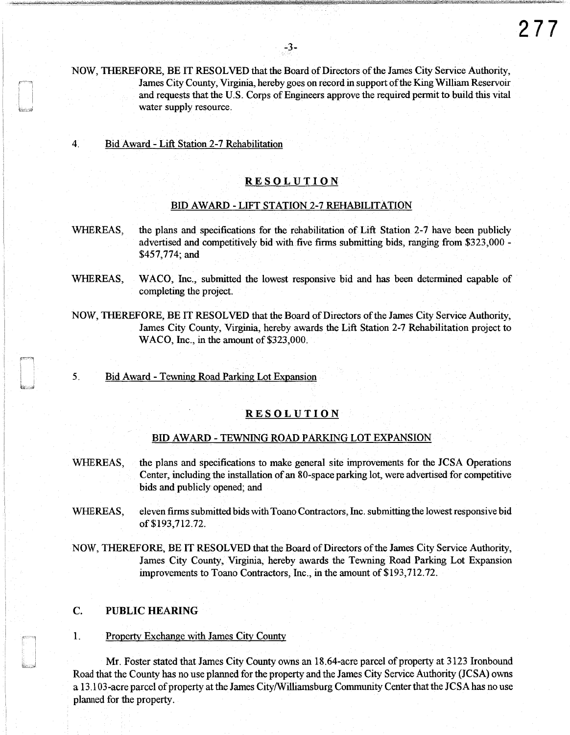- NOW, THEREFORE, BE IT RESOLVED that the Board of Directors of the James City Service Authority, James City County, Virginia, hereby goes on record in support of the King William Reservoir and requests that the U.S. Corps of Engineers approve the required permit to build this vital water supply resource.
- 4. Bid Award- Lift Station 2-7 Rehabilitation

# RESOLUTION

## BID AWARD -LIFT STATION 2-7 REHABILITATION

- WHEREAS, the plans and specifications for the rehabilitation of Lift Station 2-7 have been publicly advertised and competitively bid with five firms submitting bids, ranging from \$323,000 - \$457,774; and
- WHEREAS, WACO, Inc., submitted the lowest responsive bid and has been determined capable of completing the project.
- NOW, THEREFORE, BE IT RESOLVED that the Board of Directors of the James City Service Authority, James City County, Virginia, hereby awards the Lift Station 2-7 Rehabilitation project to WACO, Inc., in the amount of \$323,000.
- 5. Bid Award -Tewning Road Parking Lot Expansion

# RESOLUTION

## BID AWARD - TEWNING ROAD PARKING LOT EXPANSION

- WHEREAS, the plans and specifications to make general site improvements for the JCSA Operations Center, including the installation of an 80-space parking lot, were advertised for competitive bids and publicly opened; and
- WHEREAS, eleven firms submitted bids with Toano Contractors, Inc. submitting the lowest responsive bid of \$193,712.72.
- NOW, THEREFORE, BE IT RESOLVED that the Board of Directors of the James City Service Authority, James City County, Virginia, hereby awards the Tewning Road Parking Lot Expansion improvements to Toano Contractors, Inc., in the amount of \$193,712.72.

### C. PUBLIC HEARING

### 1. Property Exchange with James City County

Mr. Foster stated that James City County owns an 18.64-acre parcel of property at 3123 Ironbound Road that the County has no use planned for the property and the James City Service Authority (JCSA) owns a 13 .103-acre parcel of property at the James City/Williamsburg Community Center that the JCSA has no use planned for the property.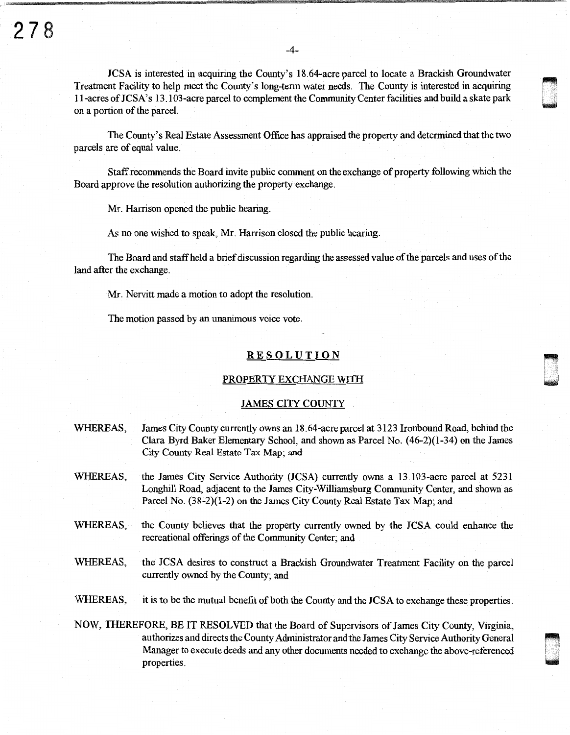JCSA is interested in acquiring the County's 18.64-acre parcel to locate a Brackish Groundwater Treatment Facility to help meet the County's long-term water needs. The County is interested in acquiring I I -acres of JCSA' s 13 .103-acre parcel to complement the Community Center facilities and build a skate park on a portion of the parcel.

u ''<br>u ''' '

**n** u

w 'n de gewone gewone gewone gewone gewone gewone gewone gewone gewone gewone gewone gewone gewone gewone gewo<br>Gewone gewone gewone gewone gewone gewone gewone gewone gewone gewone gewone gewone gewone gewone gewone gewon<br>

The County's Real Estate Assessment Office has appraised the property and determined that the two parcels are of equal value.

Staff recommends the Board invite public comment on the exchange of property following which the Board approve the resolution authorizing the property exchange.

Mr. Harrison opened the public hearing.

As no one wished to speak, Mr. Harrison closed the public hearing.

The Board and staff held a brief discussion regarding the assessed value of the parcels and uses of the land after the exchange.

Mr. Nervitt made a motion to adopt the resolution.

The motion passed by an unanimous voice vote.

## **RESOLUTION**

#### PROPERTY EXCHANGE WITH

### JAMES CITY COUNTY

- WHEREAS, James City County currently owns an I8.64-acre parcel at 3 I23 Ironbound Road, behind the Clara Byrd Baker Elementary School, and shown as Parcel No. (46-2)(1-34) on the James City County Real Estate Tax Map; and
- WHEREAS, the James City Service Authority (JCSA) currently owns a 13.103-acre parcel at 523I Longhill Road, adjacent to the James City-Williamsburg Community Center, and shown as Parcel No. (38-2)(I-2) on the James City County Real Estate Tax Map; and
- WHEREAS, the County believes that the property currently owned by the JCSA could enhance the recreational offerings of the Community Center; and
- WHEREAS, the JCSA desires to construct a Brackish Groundwater Treatment Facility on the parcel currently owned by the County; and
- WHEREAS, it is to be the mutual benefit of both the County and the JCSA to exchange these properties.

NOW, THEREFORE, BE IT RESOLVED that the Board of Supervisors of James City County, Virginia, authorizes and directs the County Administrator and the James City Service Authority General Manager to execute deeds and any other documents needed to exchange the above-referenced properties.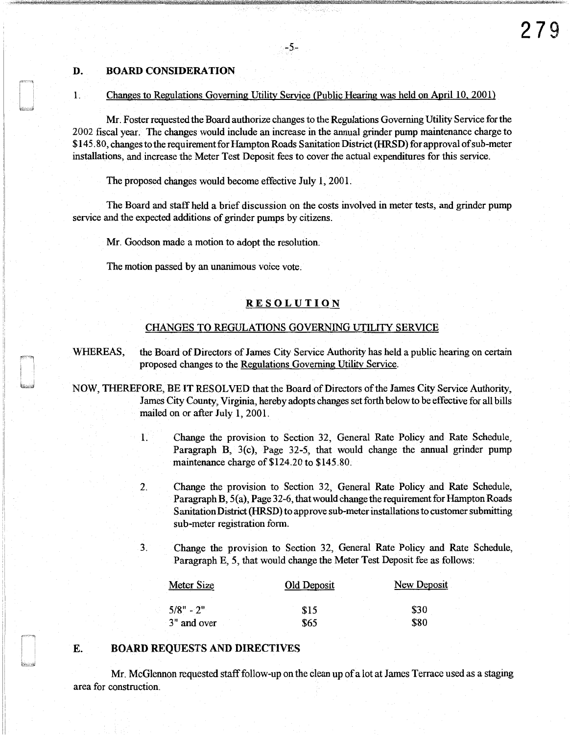### D. BOARD CONSIDERATION

#### 1. Changes to Regulations Governing Utility Service (Public Hearing was held on April 10, 2001)

-5-

Mr. Foster requested the Board authorize changes to the Regulations Governing Utility Service forthe 2002 fiscal year. The changes would include an increase in the annual grinder pump maintenance charge to \$145. 80, changes to the requirement for Hampton Roads Sanitation District (HRSD) for approval of sub-meter installations, and increase the Meter Test Deposit fees to cover the actual expenditures for this service.

The proposed changes would become effective July 1, 2001.

The Board and staff held a brief discussion on the costs involved in meter tests, and grinder pump service and the expected additions of grinder pumps by citizens.

Mr. Goodson made a motion to adopt the resolution.

The motion passed by an unanimous voice vote.

## RESOLUTION

### CHANGES TO REGULATIONS GOVERNING UTILITY SERVICE

WHEREAS, the Board of Directors of James City Service Authority has held a public hearing on certain proposed changes to the Regulations Governing Utility Service.

- NOW, THEREFORE, BE IT RESOLVED that the Board of Directors of the James City Service Authority, James City County, Virginia, hereby adopts changes set forth below to be effective for all bills mailed on or after July 1, 2001.
	- 1. Change the provision to Section 32, General Rate Policy and Rate Schedule, Paragraph B, 3(c), Page 32-5, that would change the annual grinder pump maintenance charge of \$124.20 to \$145.80.
	- 2. Change the provision to Section 32, General Rate Policy and Rate Schedule, Paragraph B, 5(a), Page 32-6, that would change the requirement for Hampton Roads Sanitation District (HRSD) to approve sub-meter installations to customer submitting sub-meter registration form.
	- 3. Change the provision to Section 32, General Rate Policy and Rate Schedule, Paragraph E, *5,* that would change the Meter Test Deposit fee as follows:

| Meter Size  | Old Deposit | New Deposit |
|-------------|-------------|-------------|
| $5/8" - 2"$ | \$15        | \$30        |
| 3" and over | \$65        | \$80        |

## E. BOARD REQUESTS AND DIRECTIVES

Mr. McGlennon requested staff follow-up on the clean up of a lot at James Terrace used as a staging area for construction.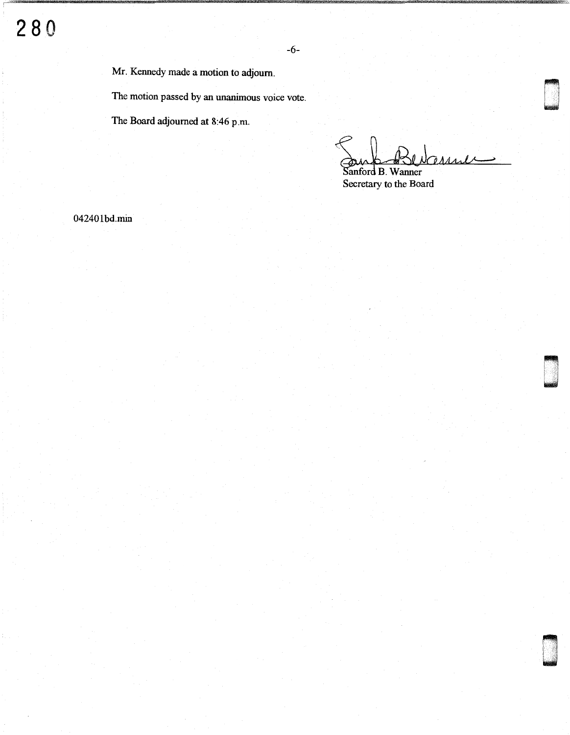Mr. Kennedy made a motion to adjourn.

The motion passed by an unanimous voice vote.

The Board adjourned at 8:46 p.m.

Charles د

D '

n u

Sanford B. Wanner Secretary to the Board

04240lbd.min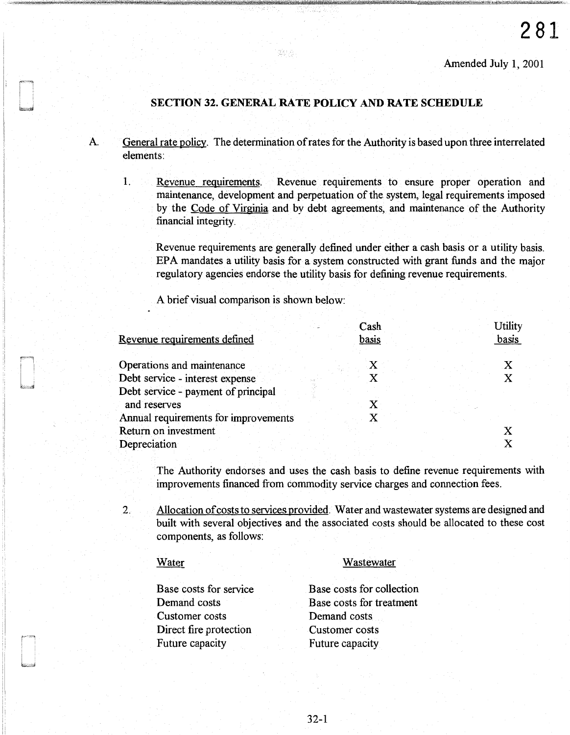# **SECTION 32. GENERAL RATE POLICY AND RATE SCHEDULE**

활용

- A. General rate policy. The determination of rates for the Authority is based upon three interrelated elements:
	- 1. Revenue requirements. Revenue requirements to ensure proper operation and maintenance, development and perpetuation of the system, legal requirements imposed by the Code of Virginia and by debt agreements, and maintenance of the Authority financial integrity.

Revenue requirements are generally defined under either a cash basis or a utility basis. EPA mandates a utility basis for a system constructed with grant funds and the major regulatory agencies endorse the utility basis for defining revenue requirements.

A brief visual comparison is shown below:

|                                      | Cash         | <b>Utility</b> |
|--------------------------------------|--------------|----------------|
| Revenue requirements defined         | basis        | basis          |
| Operations and maintenance           | $\mathbf{X}$ |                |
| Debt service - interest expense      |              |                |
| Debt service - payment of principal  |              |                |
| and reserves                         |              |                |
| Annual requirements for improvements |              |                |
| Return on investment                 |              |                |
| Depreciation                         |              |                |

The Authority endorses and uses the cash basis to define revenue requirements with improvements financed from commodity service charges and connection fees.

2. Allocation of costs to services provided. Water and wastewater systems are designed and built with several objectives and the associated costs should be allocated to these cost components, as follows:

## Water

Wastewater

Base costs for service Demand costs Customer costs Direct fire protection Future capacity Base costs for collection Base costs for treatment Demand costs Customer costs Future capacity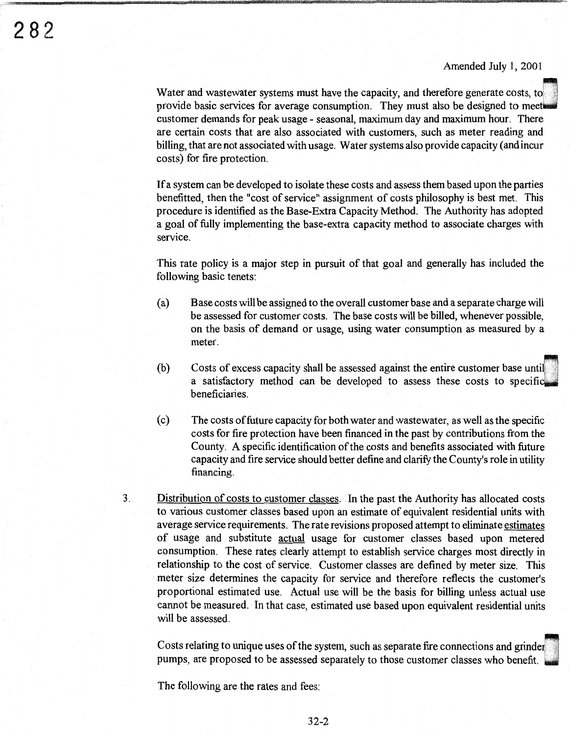Water and wastewater systems must have the capacity, and therefore generate costs, to provide basic services for average consumption. They must also be designed to meet customer demands for peak usage - seasonal, maximum day and maximum hour. There are certain costs that are also associated with customers, such as meter reading and billing, that are not associated with usage. Water systems also provide capacity (and incur costs) for fire protection.

If a system can be developed to isolate these costs and assess them based upon the parties benefitted, then the "cost of service" assignment of costs philosophy is best met. This procedure is identified as the Base-Extra Capacity Method. The Authority has adopted a goal of fully implementing the base-extra capacity method to associate charges with service.

This rate policy is a major step in pursuit of that goal and generally has included the following basic tenets:

- (a) Base costs will be assigned to the overall customer base and a separate charge will be assessed for customer costs. The base costs will be billed, whenever possible, on the basis of demand or usage, using water consumption as measured by a meter.
- (b) Costs of excess capacity shall be assessed against the entire customer base untu a satisfactory method can be developed to assess these costs to specific beneficiaries.
- ( c) The costs of future capacity for both water and wastewater, as well as the specific costs for fire protection have been financed in the past by contributions from the County. A specific identification of the costs and benefits associated with future capacity and fire service should better define and clarify the County's role in utility financing.
- 3. Distribution of costs to customer classes. In the past the Authority has allocated costs to various customer classes based upon an estimate of equivalent residential units with average service requirements. The rate revisions proposed attempt to eliminate estimates of usage and substitute actual usage for customer classes based upon metered consumption. These rates clearly attempt to establish service charges most directly in relationship to the cost of service. Customer classes are defined by meter size. This meter size determines the capacity for service and therefore reflects the customer's proportional estimated use. Actual use will be the basis for billing unless actual use cannot be measured. In that case, estimated use based upon equivalent residential units will be assessed.

Costs relating to unique uses of the system, such as separate fire connections and grinder<br>pumps, are proposed to be assessed separately to those customer classes who benefit.

The following are the rates and fees: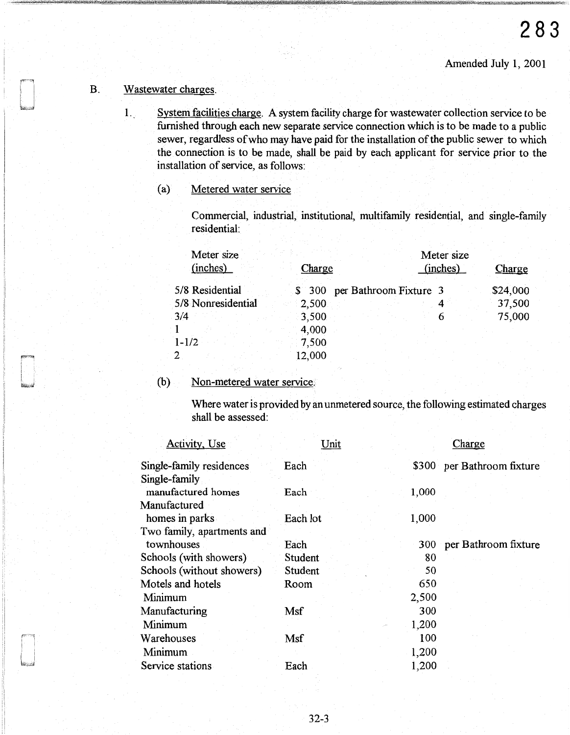# B. Wastewater charges.

- 1. System facilities charge. A system facility charge for wastewater collection service to be furnished through each new separate service connection which is to be made to a public sewer, regardless of who may have paid for the installation of the public sewer to which the connection is to be made, shall be paid by each applicant for service prior to the installation of service, as follows:
	- (a) Metered water service

Commercial, industrial, institutional, multifamily residential, and single-family residential:

| Meter size<br>(inches) | Charge |                               | (inches) | Meter size | Charge   |
|------------------------|--------|-------------------------------|----------|------------|----------|
| 5/8 Residential        |        | \$ 300 per Bathroom Fixture 3 |          |            | \$24,000 |
| 5/8 Nonresidential     | 2,500  |                               |          |            | 37,500   |
| 3/4                    | 3,500  |                               |          |            | 75,000   |
|                        | 4,000  |                               |          |            |          |
| $1 - 1/2$              | 7,500  |                               |          |            |          |
|                        | 12,000 |                               |          |            |          |

## (b) Non-metered water service;

Where water is provided by an unmetered source, the following estimated charges shall be assessed:

| Unit     |       | Charge               |
|----------|-------|----------------------|
| Each     | \$300 | per Bathroom fixture |
|          |       |                      |
| Each     | 1,000 |                      |
|          |       |                      |
| Each lot | 1,000 |                      |
|          |       |                      |
| Each     | 300   | per Bathroom fixture |
| Student  | 80    |                      |
| Student  | 50    |                      |
| Room     | 650   |                      |
|          | 2,500 |                      |
| Msf      | 300   |                      |
|          | 1,200 |                      |
| Msf      | 100   |                      |
|          |       |                      |
| Each     | 1,200 |                      |
|          |       | 1,200                |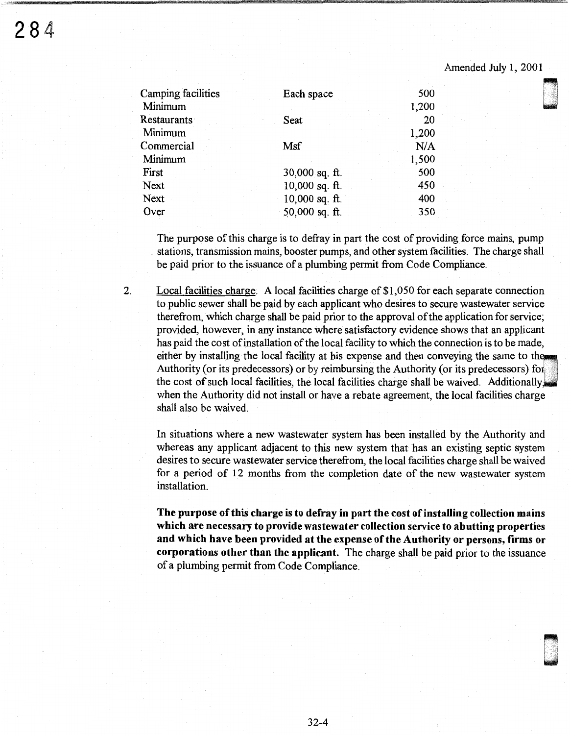D '

| Camping facilities | Each space       | 500   |  |
|--------------------|------------------|-------|--|
| Minimum            |                  | 1,200 |  |
| Restaurants        | Seat             | 20    |  |
| Minimum            |                  | 1,200 |  |
| Commercial         | Msf              | N/A   |  |
| Minimum            |                  | 1,500 |  |
| First              | 30,000 sq. $ft.$ | 500   |  |
| Next               | $10,000$ sq. ft. | 450   |  |
| Next               | $10,000$ sq. ft. | 400   |  |
| Over               | $50,000$ sq. ft. | 350   |  |
|                    |                  |       |  |

rem r j ff !fflm N"i! f WW t

The purpose of this charge is to defray in part the cost of providing force mains, pump stations, transmission mains, booster pumps, and other system facilities. The charge shall be paid prior to the issuance of a plumbing permit from Code Compliance.

2. Local facilities charge. A local facilities charge of \$1,050 for each separate connection to public sewer shall be paid by each applicant who desires to secure wastewater service therefrom, which charge shall be paid prior to the approval of the application for service; provided, however, in any instance where satisfactory evidence shows that an applicant has paid the cost of installation of the local facility to which the connection is to be made, either by installing the local facility at his expense and then conveying the same to the Authority (or its predecessors) or by reimbursing the Authority (or its predecessors) for the cost of such local facilities, the local facilities charge shall be waived. Additionally when the Authority did not install or have a rebate agreement, the local facilities charge shall also be waived.

In situations where a new wastewater system has been installed by the Authority and whereas any applicant adjacent to this new system that has an existing septic system desires to secure wastewater service therefrom, the local facilities charge shall be waived for a period of 12 months from the completion date of the new wastewater system installation.

The purpose of this charge is to defray in part the cost of installing collection mains which are necessary to provide wastewater collection service to abutting properties and which have been provided at the expense of the Authority or persons, firms or corporations other than the applicant. The charge shall be paid prior to the issuance of a plumbing permit from Code Compliance.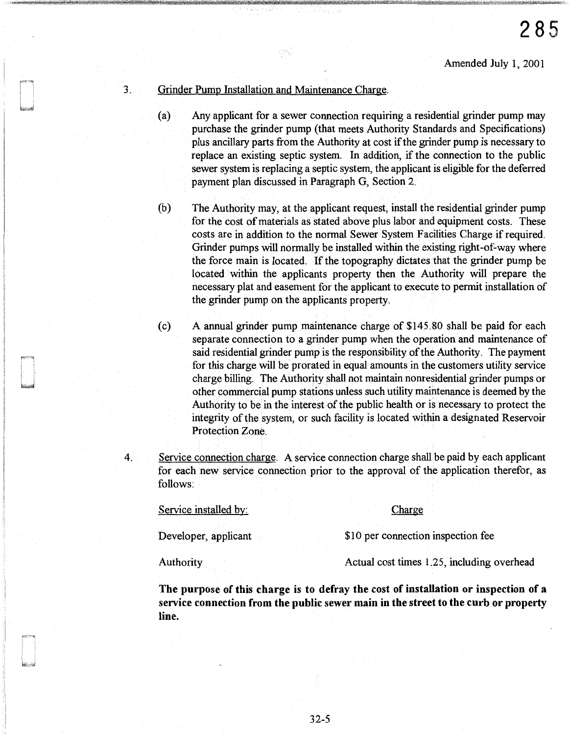## 3. Grinder Pump Installation and Maintenance Charge.

- (a) Any applicant for a sewer connection requiring a residential grinder pump may purchase the grinder pump (that meets Authority Standards and Specifications) plus ancillary parts from the Authority at cost if the grinder pump is necessary to replace an existing septic system. In addition, if the connection to the public sewer system is replacing a septic system, the applicant is eligible for the deferred payment plan discussed in Paragraph G, Section 2.
- (b) The Authority may, at the applicant request, install the residential grinder pump for the cost of materials as stated above plus labor and equipment costs. These costs are in addition to the normal Sewer System Facilities Charge if required. Grinder pumps will normally be installed within the existing right-of-way where the force main is located. If the topography dictates that the grinder pump be located within the applicants property then the Authority will prepare the necessary plat and easement for the applicant to execute to permit installation of the grinder pump on the applicants property.
- (c) A annual grinder pump maintenance charge of \$145.80 shall be paid for each separate connection to a grinder pump when the operation and maintenance of said residential grinder pump is the responsibility of the Authority. The payment for this charge will be prorated in equal amounts in the customers utility service charge billing. The Authority shall not maintain nonresidential grinder pumps or other commercial pump stations unless such utility maintenance is deemed by the Authority to be in the interest of the public health or is necessary to protect the integrity of the system, or such facility is located within a designated Reservoir Protection Zone.
- 4. Service connection charge. A service connection charge shall be paid by each applicant for each new service connection prior to the approval of the application therefor, as follows:

Service installed by: Charge Developer, applicant \$10 per connection inspection fee

Authority Actual cost times 1.25, including overhead

The purpose of this charge is to defray the cost of installation or inspection of a service connection from the public sewer main in the street to the curb or property line.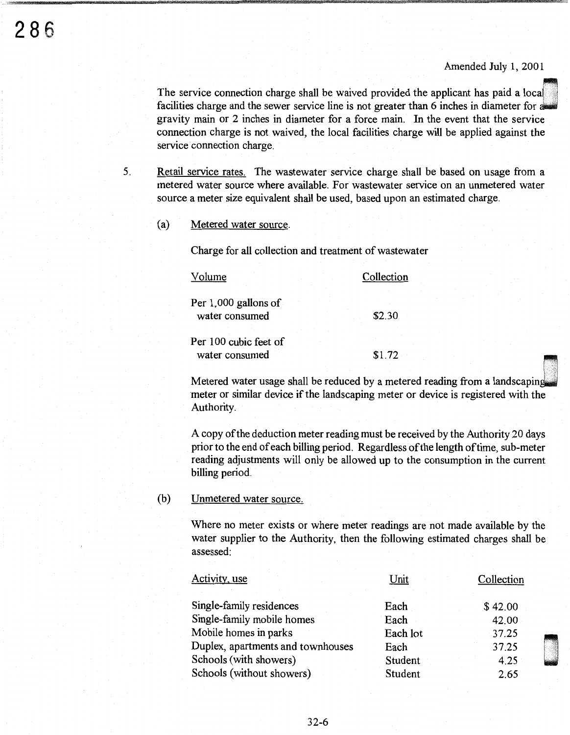The service connection charge shall be waived provided the applicant has paid a local facilities charge and the sewer service line is not greater than 6 inches in diameter for a gravity main or 2 inches in diameter for a force main. In the event that the service connection charge is not waived, the local facilities charge will be applied against the service connection charge.

5. Retail service rates. The wastewater service charge shall be based on usage from a metered water source where available. For wastewater service on an unmetered water source a meter size equivalent shall be used, based upon an estimated charge.

### (a) Metered water source.

Charge for all collection and treatment of wastewater

| lume                                   | Collection |  |
|----------------------------------------|------------|--|
| Per 1,000 gallons of<br>water consumed | \$2.30     |  |
| Per 100 cubic feet of                  |            |  |
| water consumed                         | \$1.72     |  |

Metered water usage shall be reduced by a metered reading from a landscaping meter or similar device if the landscaping meter or device is registered with the Authority.

A copy of the deduction meter reading must be received by the Authority 20 days prior to the end of each billing period. Regardless of the length of time, sub-meter reading adjustments will only be allowed up to the consumption in the current billing period.

## (b) Unmetered water source.

Where no meter exists or where meter readings are not made available by the water supplier to the Authority, then the following estimated charges shall be assessed:

| Activity, use                     | Unit     | Collection |  |
|-----------------------------------|----------|------------|--|
| Single-family residences          | Each     | \$42.00    |  |
| Single-family mobile homes        | Each     | 42.00      |  |
| Mobile homes in parks             | Each lot | 37.25      |  |
| Duplex, apartments and townhouses | Each     | 37.25      |  |
| Schools (with showers)            | Student  | 4.25       |  |
| Schools (without showers)         | Student  | 2.65       |  |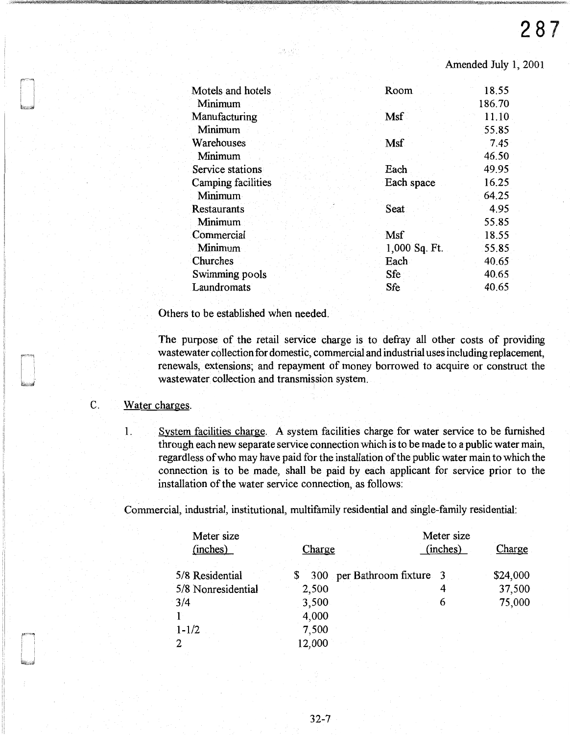| Motels and hotels  | Room          | 18.55  |
|--------------------|---------------|--------|
| Minimum            |               | 186.70 |
| Manufacturing      | Msf           | 11.10  |
| Minimum            |               | 55.85  |
| Warehouses         | Msf           | 7.45   |
| Minimum            |               | 46.50  |
| Service stations   | Each          | 49.95  |
| Camping facilities | Each space    | 16.25  |
| Minimum            |               | 64.25  |
| <b>Restaurants</b> | Seat          | 4.95   |
| <b>Minimum</b>     |               | 55.85  |
| Commercial         | Msf           | 18.55  |
| Minimum            | 1,000 Sq. Ft. | 55.85  |
| Churches           | Each          | 40.65  |
| Swimming pools     | Sfe           | 40.65  |
| Laundromats        | Sfe           | 40.65  |
|                    |               |        |

승리 남은

Others to be established when needed.

The purpose of the retail service charge is to defray all other costs of providing wastewater collection for domestic, commercial and industrial uses including replacement, renewals, extensions; and repayment of money borrowed to acquire or construct the wastewater collection and transmission system.

# C. Water charges.

1. System facilities charge. A system facilities charge for water service to be furnished through each new separate service connection which is to be made to a public water main, regardless of who may have paid for the installation of the public water main to which the connection is to be made, shall be paid by each applicant for service prior to the installation of the water service connection, as follows:

Commercial, industrial, institutional, multifamily residential and single-family residential:

| Meter size<br>(inches) | Charge |                        | Meter size<br>(inches) | Charge   |
|------------------------|--------|------------------------|------------------------|----------|
| 5/8 Residential        | 300    | per Bathroom fixture 3 |                        | \$24,000 |
| 5/8 Nonresidential     | 2,500  |                        | 4                      | 37,500   |
| 3/4                    | 3,500  |                        | 6                      | 75,000   |
|                        | 4,000  |                        |                        |          |
| $1 - 1/2$              | 7,500  |                        |                        |          |
| 2                      | 12,000 |                        |                        |          |
|                        |        |                        |                        |          |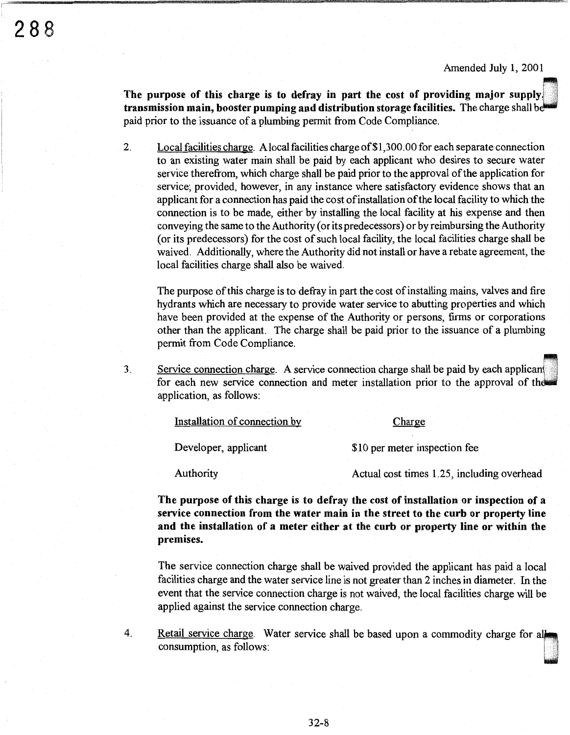The purpose of this charge is to defray in part the cost of providing major supply.<br>**transmission main, booster pumping and distribution storage facilities.** The charge shall be paid prior to the issuance of a plumbing permit from Code Compliance.

2. Local facilities charge. A local facilities charge of \$1,3 00. 00 for each separate connection to an existing water main shall be paid by each applicant who desires to secure water service therefrom, which charge shall be paid prior to the approval of the application for service; provided, however, in any instance where satisfactory evidence shows that an applicant for a connection has paid the cost ofinstallation of the local facility to which the connection is to be made, either by installing the local facility at his expense and then conveying the same to the Authority (or its predecessors) or by reimbursing the Authority (or its predecessors) for the cost of such local facility, the local facilities charge shall be waived. Additionally, where the Authority did not install or have a rebate agreement, the local facilities charge shall also be waived.

The purpose of this charge is to defray in part the cost of installing mains, valves and fire hydrants which are necessary to provide water service to abutting properties and which have been provided at the expense of the Authority or persons, firms or corporations other than the applicant. The charge shall be paid prior to the issuance of a plumbing permit from Code Compliance.

3. Service connection charge. A service connection charge shall be paid by each applicant for each new service connection and meter installation prior to the approval of the application, as follows:

| Installation of connection by | Charge                        |
|-------------------------------|-------------------------------|
|                               |                               |
| Developer, applicant          | \$10 per meter inspection fee |

Authority **Authority** Actual cost times 1.25, including overhead

**The purpose of this charge is to defray the cost of installation or inspection of a service connection from the water main in the street to the curb or property line and the installation of a meter either at the curb or property line or within the premises.** 

The service connection charge shall be waived provided the applicant has paid a local facilities charge and the water service line is not greater than 2 inches in diameter. In the event that the service connection charge is not waived, the local facilities charge will be applied against the service connection charge.

4. Retail service charge. Water service shall be based upon a commodity charge for all consumption, as follows: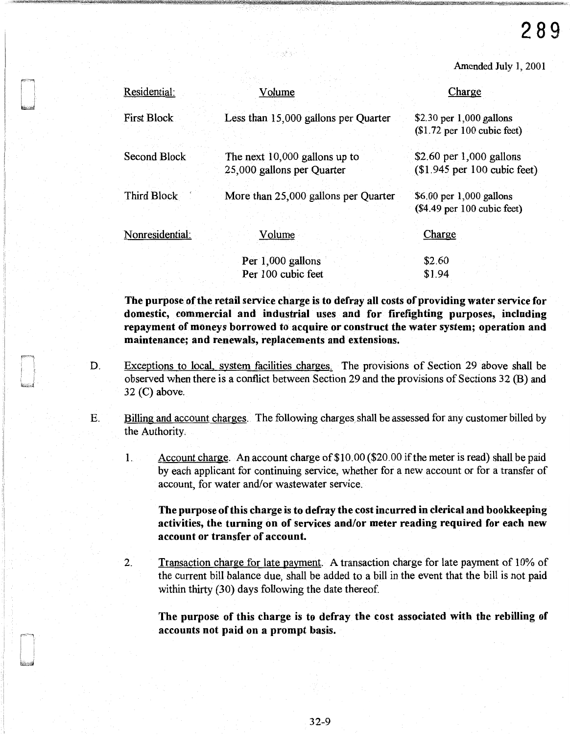| Residential:       | Volume                                                      | Charge                                                     |
|--------------------|-------------------------------------------------------------|------------------------------------------------------------|
| <b>First Block</b> | Less than 15,000 gallons per Quarter                        | \$2.30 per $1,000$ gallons<br>$$1.72$ per 100 cubic feet)  |
| Second Block       | The next 10,000 gallons up to<br>25,000 gallons per Quarter | \$2.60 per $1,000$ gallons<br>$$1.945$ per 100 cubic feet) |
| Third Block        | More than 25,000 gallons per Quarter                        | \$6.00 per 1,000 gallons<br>$(\$4.49$ per 100 cubic feet)  |
| Nonresidential:    | Volume                                                      | Charge                                                     |
|                    | Per 1,000 gallons                                           | \$2.60                                                     |
|                    | Per 100 cubic feet                                          | \$1.94                                                     |

The purpose of the retail service charge is to defray all costs of providing water service for domestic, commercial and industrial uses and for firefighting purposes, including repayment of moneys borrowed to acquire or construct the water system; operation and maintenance; and renewals, replacements and extensions.

- D. Exceptions to local, system facilities charges. The provisions of Section 29 above shall be observed when there is a conflict between Section 29 and the provisions of Sections 32 (B) and  $32$  (C) above.
- E. Billing and account charges. The following charges shall be assessed for any customer billed by the Authority.
	- 1. Account charge. An account charge of \$10. 00 (\$20. 00 if the meter is read) shall be paid by each applicant for continuing service, whether for a new account or for a transfer of account, for water and/or wastewater service.

The purpose of this charge is to defray the cost incurred in clerical and bookkeeping activities, the turning on of services and/or meter reading required for each new account or transfer of account.

2. Transaction charge for late payment. A transaction charge for late payment of 10% of the current bill balance due, shall be added to a bill in the event that the bill is not paid within thirty (30) days following the date thereof.

The purpose of this charge is to defray the cost associated with the rebilling of accounts not paid on a prompt basis.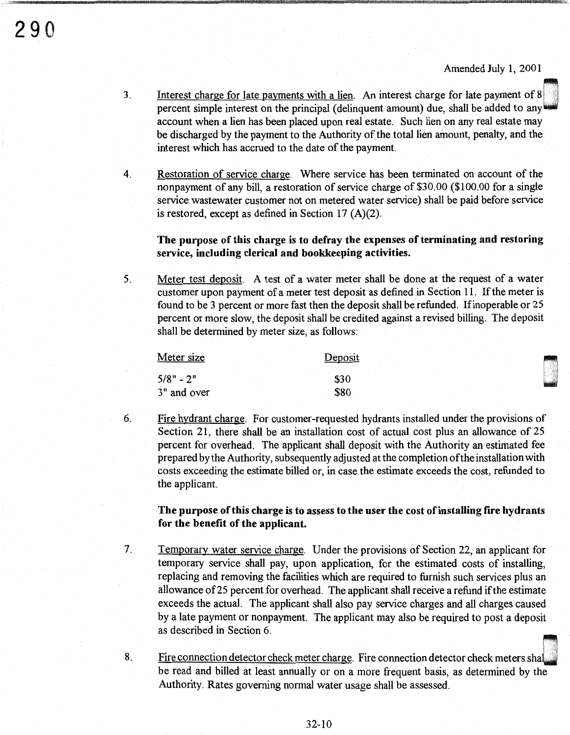- 3. Interest charge for late payments with a lien. An interest charge for late payment of 8 percent simple interest on the principal (delinquent amount) due, shall be added to any account when a lien has been placed upon real estate. Such lien on any real estate may be discharged by the payment to the Authority of the total lien amount, penalty, and the interest which has accrued to the date of the payment.
- 4. Restoration of service charge. Where service has been terminated on account of the nonpayment of any bill, a restoration of service charge of \$3 0. 00 (\$100. 00 for a single service wastewater customer not on metered water service) shall be paid before service is restored, except as defined in Section 17 (A)(2).

# The purpose of this charge is to defray the expenses of terminating and restoring service, including clerical and bookkeeping activities.

5. Meter test deposit. A test of a water meter shall be done at the request of a water customer upon payment of a meter test deposit as defined in Section 11. If the meter is found to be 3 percent or more fast then the deposit shall be refunded. Ifinoperable or 25 percent or more slow, the deposit shall be credited against a revised billing. The deposit shall be determined by meter size, as follows:

| Meter size  | Deposit |
|-------------|---------|
| $5/8" - 2"$ | \$30    |
| 3" and over | \$80    |

7.

8.

6. Fire hydrant charge. For customer-requested hydrants installed under the provisions of Section 21, there shall be an installation cost of actual cost plus an allowance of 25 percent for overhead. The applicant shall deposit with the Authority an estimated fee prepared by the Authority, subsequently adjusted at the completion of the installation with costs exceeding the estimate billed or, in case the estimate exceeds the cost, refunded to the applicant.

# The purpose of this charge is to assess to the user the cost of installing fire hydrants for the benefit of the applicant.

- Temporary water service charge. Under the provisions of Section 22, an applicant for temporary service shall pay, upon application, for the estimated costs of installing, replacing and removing the facilities which are required to furnish such services plus an allowance of25 percent for overhead. The applicant shall receive a refund if the estimate exceeds the actual. The applicant shall also pay service charges and all charges caused by a late payment or nonpayment. The applicant may also be required to post a deposit as described in Section 6.
- Fire connection detector check meter charge. Fire connection detector check meters shall be read and billed at least annually or on a more frequent basis, as determined by the Fire connection detector check meter charge. Fire connection detector check meters Authority. Rates governing normal water usage shall be assessed.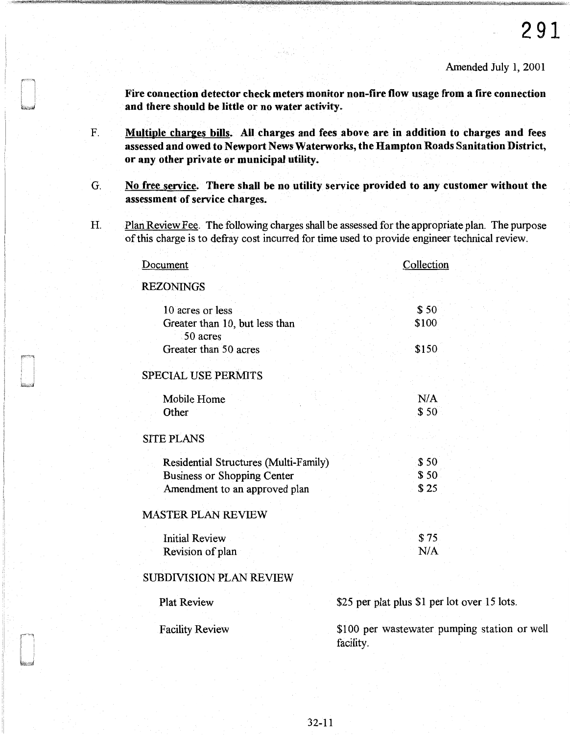station or well

Fire connection detector check meters monitor non-fire flow usage from a fire connection and there should be little or no water activity.

- F. Multiple charges bills. All charges and fees above are in addition to charges and fees assessed and owed to Newport News Waterworks, the Hampton Roads Sanitation District, or any other private or municipal utility.
- G. No free service. There shall be no utility service provided to any customer without the assessment of service charges.
- H. Plan Review Fee. The following charges shall be assessed for the appropriate plan. The purpose of this charge is to defray cost incurred for time used to provide engineer technical review.

| <b>Document</b>                            | Collection                                        |  |
|--------------------------------------------|---------------------------------------------------|--|
| <b>REZONINGS</b>                           |                                                   |  |
| 10 acres or less                           | \$50                                              |  |
| Greater than 10, but less than<br>50 acres | \$100                                             |  |
| Greater than 50 acres                      | \$150                                             |  |
| <b>SPECIAL USE PERMITS</b>                 |                                                   |  |
| Mobile Home                                | N/A                                               |  |
| Other                                      | \$50                                              |  |
| <b>SITE PLANS</b>                          |                                                   |  |
| Residential Structures (Multi-Family)      | \$50                                              |  |
| <b>Business or Shopping Center</b>         | \$50                                              |  |
| Amendment to an approved plan              | \$25                                              |  |
| <b>MASTER PLAN REVIEW</b>                  |                                                   |  |
| <b>Initial Review</b>                      | \$75                                              |  |
| Revision of plan                           | N/A                                               |  |
| <b>SUBDIVISION PLAN REVIEW</b>             |                                                   |  |
| <b>Plat Review</b>                         | \$25 per plat plus \$1 per lot over 15 lots.      |  |
| <b>Facility Review</b>                     | \$100 per wastewater pumping station<br>facility. |  |